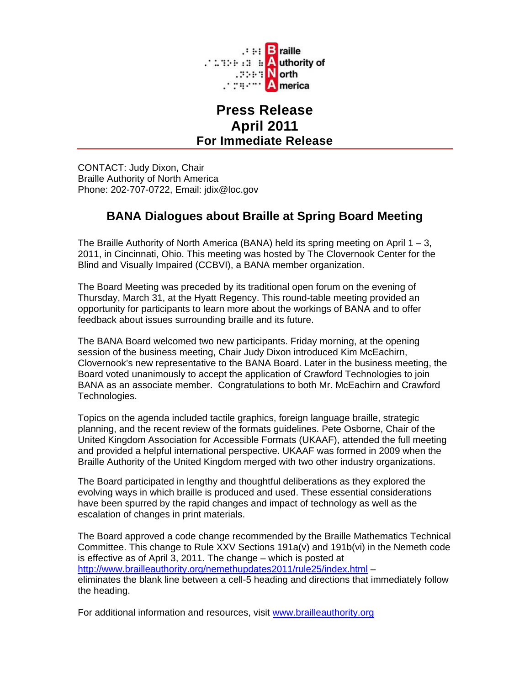

## **Press Release April 2011 For Immediate Release**

CONTACT: Judy Dixon, Chair Braille Authority of North America Phone: 202-707-0722, Email: jdix@loc.gov

## **BANA Dialogues about Braille at Spring Board Meeting**

The Braille Authority of North America (BANA) held its spring meeting on April  $1 - 3$ , 2011, in Cincinnati, Ohio. This meeting was hosted by The Clovernook Center for the Blind and Visually Impaired (CCBVI), a BANA member organization.

The Board Meeting was preceded by its traditional open forum on the evening of Thursday, March 31, at the Hyatt Regency. This round-table meeting provided an opportunity for participants to learn more about the workings of BANA and to offer feedback about issues surrounding braille and its future.

The BANA Board welcomed two new participants. Friday morning, at the opening session of the business meeting, Chair Judy Dixon introduced Kim McEachirn, Clovernook's new representative to the BANA Board. Later in the business meeting, the Board voted unanimously to accept the application of Crawford Technologies to join BANA as an associate member. Congratulations to both Mr. McEachirn and Crawford Technologies.

Topics on the agenda included tactile graphics, foreign language braille, strategic planning, and the recent review of the formats guidelines. Pete Osborne, Chair of the United Kingdom Association for Accessible Formats (UKAAF), attended the full meeting and provided a helpful international perspective. UKAAF was formed in 2009 when the Braille Authority of the United Kingdom merged with two other industry organizations.

The Board participated in lengthy and thoughtful deliberations as they explored the evolving ways in which braille is produced and used. These essential considerations have been spurred by the rapid changes and impact of technology as well as the escalation of changes in print materials.

The Board approved a code change recommended by the Braille Mathematics Technical Committee. This change to Rule XXV Sections 191a(v) and 191b(vi) in the Nemeth code is effective as of April 3, 2011. The change – which is posted at http://www.brailleauthority.org/nemethupdates2011/rule25/index.html – eliminates the blank line between a cell-5 heading and directions that immediately follow the heading.

For additional information and resources, visit www.brailleauthority.org